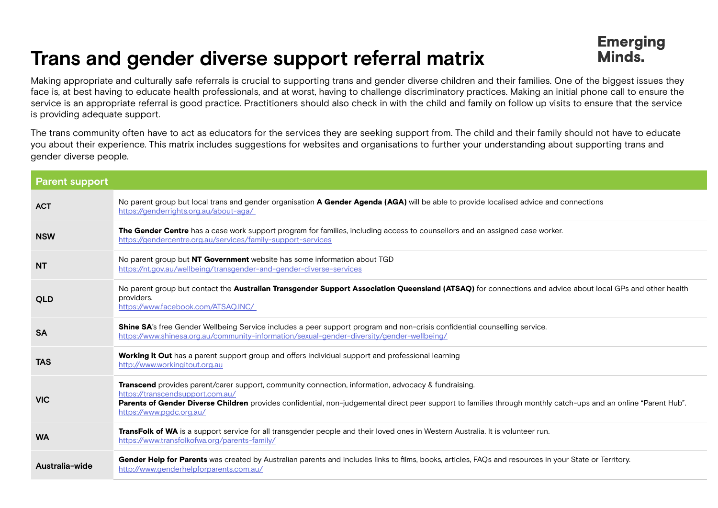## **Trans and gender diverse support referral matrix**

Making appropriate and culturally safe referrals is crucial to supporting trans and gender diverse children and their families. One of the biggest issues they face is, at best having to educate health professionals, and at worst, having to challenge discriminatory practices. Making an initial phone call to ensure the service is an appropriate referral is good practice. Practitioners should also check in with the child and family on follow up visits to ensure that the service is providing adequate support.

The trans community often have to act as educators for the services they are seeking support from. The child and their family should not have to educate you about their experience. This matrix includes suggestions for websites and organisations to further your understanding about supporting trans and gender diverse people.

| <b>Parent support</b> |                                                                                                                                                                                                                                                                                                                                        |
|-----------------------|----------------------------------------------------------------------------------------------------------------------------------------------------------------------------------------------------------------------------------------------------------------------------------------------------------------------------------------|
| <b>ACT</b>            | No parent group but local trans and gender organisation A Gender Agenda (AGA) will be able to provide localised advice and connections<br>https://genderrights.org.au/about-aga/                                                                                                                                                       |
| <b>NSW</b>            | The Gender Centre has a case work support program for families, including access to counsellors and an assigned case worker.<br>https://gendercentre.org.au/services/family-support-services                                                                                                                                           |
| <b>NT</b>             | No parent group but NT Government website has some information about TGD<br>https://nt.gov.au/wellbeing/transgender-and-gender-diverse-services                                                                                                                                                                                        |
| <b>QLD</b>            | No parent group but contact the Australian Transgender Support Association Queensland (ATSAQ) for connections and advice about local GPs and other health<br>providers.<br>https://www.facebook.com/ATSAQ.INC/                                                                                                                         |
| <b>SA</b>             | Shine SA's free Gender Wellbeing Service includes a peer support program and non-crisis confidential counselling service.<br>https://www.shinesa.org.au/community-information/sexual-gender-diversity/gender-wellbeing/                                                                                                                |
| <b>TAS</b>            | Working it Out has a parent support group and offers individual support and professional learning<br>http://www.workingitout.org.au                                                                                                                                                                                                    |
| <b>VIC</b>            | Transcend provides parent/carer support, community connection, information, advocacy & fundraising.<br>https://transcendsupport.com.au/<br>Parents of Gender Diverse Children provides confidential, non-judgemental direct peer support to families through monthly catch-ups and an online "Parent Hub".<br>https://www.pgdc.org.au/ |
| <b>WA</b>             | TransFolk of WA is a support service for all transgender people and their loved ones in Western Australia. It is volunteer run.<br>https://www.transfolkofwa.org/parents-family/                                                                                                                                                       |
| Australia-wide        | Gender Help for Parents was created by Australian parents and includes links to films, books, articles, FAQs and resources in your State or Territory.<br>http://www.genderhelpforparents.com.au/                                                                                                                                      |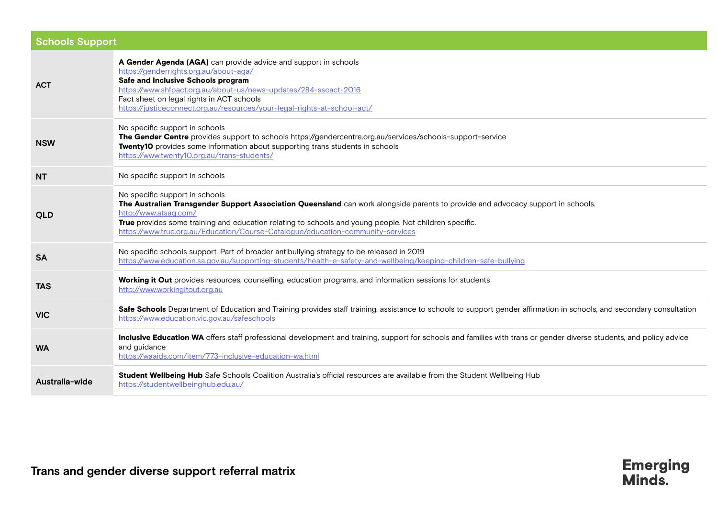| <b>Schools Support</b> |                                                                                                                                                                                                                                                                                                                                                                                          |  |
|------------------------|------------------------------------------------------------------------------------------------------------------------------------------------------------------------------------------------------------------------------------------------------------------------------------------------------------------------------------------------------------------------------------------|--|
| <b>ACT</b>             | A Gender Agenda (AGA) can provide advice and support in schools<br>https://genderrights.org.au/about-aga/<br>Safe and Inclusive Schools program<br>https://www.shfpact.org.au/about-us/news-updates/284-sscact-2016<br>Fact sheet on legal rights in ACT schools<br>https://justiceconnect.org.au/resources/your-legal-rights-at-school-act/                                             |  |
| <b>NSW</b>             | No specific support in schools<br>The Gender Centre provides support to schools https://gendercentre.org.au/services/schools-support-service<br>Twenty10 provides some information about supporting trans students in schools<br>https://www.twenty10.org.au/trans-students/                                                                                                             |  |
| <b>NT</b>              | No specific support in schools                                                                                                                                                                                                                                                                                                                                                           |  |
| <b>QLD</b>             | No specific support in schools<br>The Australian Transgender Support Association Queensland can work alongside parents to provide and advocacy support in schools.<br>http://www.atsaq.com/<br>True provides some training and education relating to schools and young people. Not children specific.<br>https://www.true.org.au/Education/Course-Catalogue/education-community-services |  |
| <b>SA</b>              | No specific schools support. Part of broader antibullying strategy to be released in 2019<br>https://www.education.sa.gov.au/supporting-students/health-e-safety-and-wellbeing/keeping-children-safe-bullying                                                                                                                                                                            |  |
| <b>TAS</b>             | Working it Out provides resources, counselling, education programs, and information sessions for students<br>http://www.workingitout.org.au                                                                                                                                                                                                                                              |  |
| <b>VIC</b>             | Safe Schools Department of Education and Training provides staff training, assistance to schools to support gender affirmation in schools, and secondary consultation<br>https://www.education.vic.gov.au/safeschools                                                                                                                                                                    |  |
| <b>WA</b>              | Inclusive Education WA offers staff professional development and training, support for schools and families with trans or gender diverse students, and policy advice<br>and guidance<br>https://waaids.com/item/773-inclusive-education-wa.html                                                                                                                                          |  |
| Australia-wide         | Student Wellbeing Hub Safe Schools Coalition Australia's official resources are available from the Student Wellbeing Hub<br>https://studentwellbeinghub.edu.au/                                                                                                                                                                                                                          |  |

**Emerging**<br>Minds.